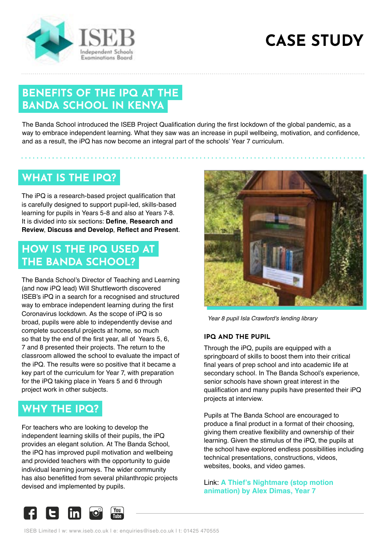

# **CASE STUDY**

# **BENEFITS OF THE IPQ AT THE BANDA SCHOOL IN KENYA**

The Banda School introduced the ISEB Project Qualification during the first lockdown of the global pandemic, as a way to embrace independent learning. What they saw was an increase in pupil wellbeing, motivation, and confidence, and as a result, the iPQ has now become an integral part of the schools' Year 7 curriculum.

### **WHAT IS THE IPQ?**

The iPQ is a research-based project qualification that is carefully designed to support pupil-led, skills-based learning for pupils in Years 5-8 and also at Years 7-8. It is divided into six sections: **Define**, **Research and Review**, **Discuss and Develop**, **Reflect and Present**.

## **HOW IS THE IPQ USED AT THE BANDA SCHOOL?**

The Banda School's Director of Teaching and Learning (and now iPQ lead) Will Shuttleworth discovered ISEB's iPQ in a search for a recognised and structured way to embrace independent learning during the first Coronavirus lockdown. As the scope of iPQ is so broad, pupils were able to independently devise and complete successful projects at home, so much so that by the end of the first year, all of Years 5, 6, 7 and 8 presented their projects. The return to the classroom allowed the school to evaluate the impact of the iPQ. The results were so positive that it became a key part of the curriculum for Year 7, with preparation for the iPQ taking place in Years 5 and 6 through project work in other subjects.

# **WHY THE IPQ?**

For teachers who are looking to develop the independent learning skills of their pupils, the iPQ provides an elegant solution. At The Banda School, the iPQ has improved pupil motivation and wellbeing and provided teachers with the opportunity to guide individual learning journeys. The wider community has also benefitted from several philanthropic projects devised and implemented by pupils.



*Year 8 pupil Isla Crawford's lending library*

#### **IPQ AND THE PUPIL**

Through the iPQ, pupils are equipped with a springboard of skills to boost them into their critical final years of prep school and into academic life at secondary school. In The Banda School's experience, senior schools have shown great interest in the qualification and many pupils have presented their iPQ projects at interview.

Pupils at The Banda School are encouraged to produce a final product in a format of their choosing, giving them creative flexibility and ownership of their learning. Given the stimulus of the iPQ, the pupils at the school have explored endless possibilities including technical presentations, constructions, videos, websites, books, and video games.

Link: **[A Thief's Nightmare \(stop motion](https://youtu.be/12sU07LlPXo)  [animation\) by Alex Dimas, Year 7](https://youtu.be/12sU07LlPXo)**